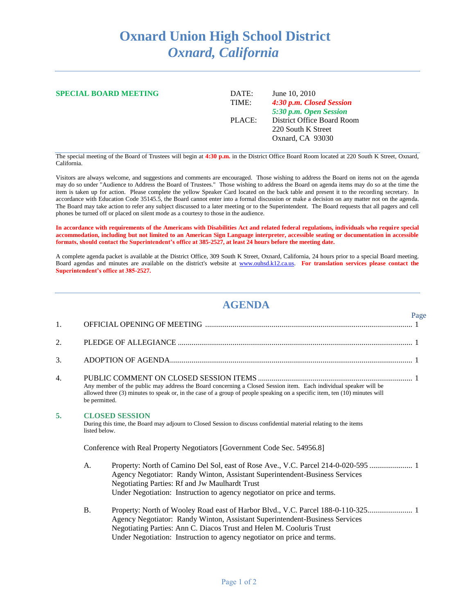## **Oxnard Union High School District** *Oxnard, California*

| <b>SPECIAL BOARD MEETING</b> | DATE:  | June 10, 2010              |
|------------------------------|--------|----------------------------|
|                              | TIME:  | 4:30 p.m. Closed Session   |
|                              |        | 5:30 p.m. Open Session     |
|                              | PLACE: | District Office Board Room |
|                              |        | 220 South K Street         |
|                              |        | Oxnard, CA 93030           |
|                              |        |                            |

The special meeting of the Board of Trustees will begin at **4:30 p.m.** in the District Office Board Room located at 220 South K Street, Oxnard, California.

Visitors are always welcome, and suggestions and comments are encouraged. Those wishing to address the Board on items not on the agenda may do so under "Audience to Address the Board of Trustees." Those wishing to address the Board on agenda items may do so at the time the item is taken up for action. Please complete the yellow Speaker Card located on the back table and present it to the recording secretary. In accordance with Education Code 35145.5, the Board cannot enter into a formal discussion or make a decision on any matter not on the agenda. The Board may take action to refer any subject discussed to a later meeting or to the Superintendent. The Board requests that all pagers and cell phones be turned off or placed on silent mode as a courtesy to those in the audience.

**In accordance with requirements of the Americans with Disabilities Act and related federal regulations, individuals who require special accommodation, including but not limited to an American Sign Language interpreter, accessible seating or documentation in accessible formats, should contact the Superintendent's office at 385-2527, at least 24 hours before the meeting date.** 

A complete agenda packet is available at the District Office, 309 South K Street, Oxnard, California, 24 hours prior to a special Board meeting. Board agendas and minutes are available on the district's website at [www.ouhsd.k12.ca.us.](http://www.ouhsd.k12.ca.us/) **For translation services please contact the Superintendent's office at 385-2527.**

## **AGENDA**

|    |                                                                                                                                                                                                                                                                 |                                                                                                                                                                                                                                                                                                       | Page |  |
|----|-----------------------------------------------------------------------------------------------------------------------------------------------------------------------------------------------------------------------------------------------------------------|-------------------------------------------------------------------------------------------------------------------------------------------------------------------------------------------------------------------------------------------------------------------------------------------------------|------|--|
| 1. |                                                                                                                                                                                                                                                                 |                                                                                                                                                                                                                                                                                                       |      |  |
| 2. |                                                                                                                                                                                                                                                                 |                                                                                                                                                                                                                                                                                                       |      |  |
| 3. |                                                                                                                                                                                                                                                                 |                                                                                                                                                                                                                                                                                                       |      |  |
| 4. |                                                                                                                                                                                                                                                                 |                                                                                                                                                                                                                                                                                                       |      |  |
|    | Any member of the public may address the Board concerning a Closed Session item. Each individual speaker will be<br>allowed three (3) minutes to speak or, in the case of a group of people speaking on a specific item, ten (10) minutes will<br>be permitted. |                                                                                                                                                                                                                                                                                                       |      |  |
| 5. | <b>CLOSED SESSION</b><br>During this time, the Board may adjourn to Closed Session to discuss confidential material relating to the items<br>listed below.                                                                                                      |                                                                                                                                                                                                                                                                                                       |      |  |
|    | Conference with Real Property Negotiators [Government Code Sec. 54956.8]                                                                                                                                                                                        |                                                                                                                                                                                                                                                                                                       |      |  |
|    | A.                                                                                                                                                                                                                                                              | Property: North of Camino Del Sol, east of Rose Ave., V.C. Parcel 214-0-020-595  1<br>Agency Negotiator: Randy Winton, Assistant Superintendent-Business Services<br><b>Negotiating Parties: Rf and Jw Maulhardt Trust</b><br>Under Negotiation: Instruction to agency negotiator on price and terms. |      |  |
|    | <b>B.</b>                                                                                                                                                                                                                                                       | Property: North of Wooley Road east of Harbor Blvd., V.C. Parcel 188-0-110-325 1<br>Agency Negotiator: Randy Winton, Assistant Superintendent-Business Services<br>Negotiating Parties: Ann C. Diacos Trust and Helen M. Cooluris Trust                                                               |      |  |

Under Negotiation: Instruction to agency negotiator on price and terms.